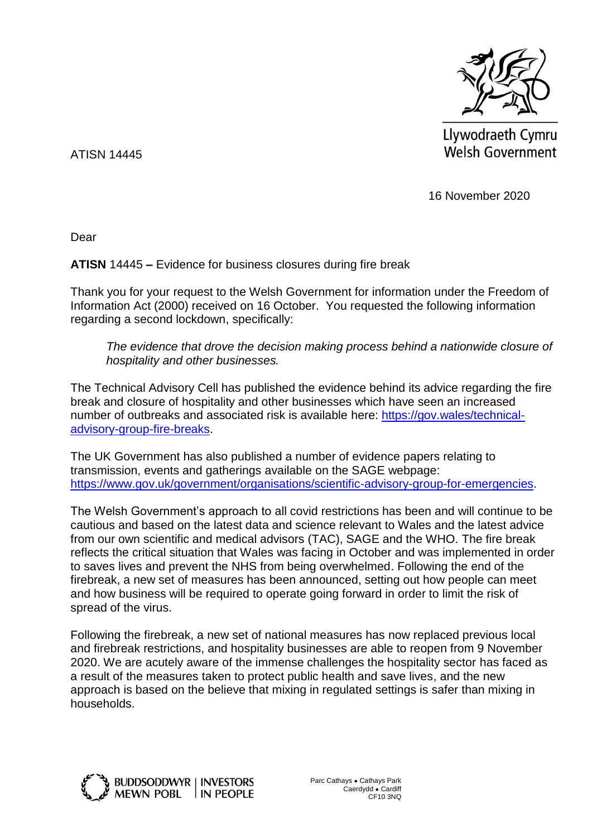

Llywodraeth Cymru Welsh Government

ATISN 14445

16 November 2020

Dear

**ATISN** 14445 **–** Evidence for business closures during fire break

Thank you for your request to the Welsh Government for information under the Freedom of Information Act (2000) received on 16 October. You requested the following information regarding a second lockdown, specifically:

*The evidence that drove the decision making process behind a nationwide closure of hospitality and other businesses.*

The Technical Advisory Cell has published the evidence behind its advice regarding the fire break and closure of hospitality and other businesses which have seen an increased number of outbreaks and associated risk is available here: [https://gov.wales/technical](https://gov.wales/technical-advisory-group-fire-breaks)[advisory-group-fire-breaks.](https://gov.wales/technical-advisory-group-fire-breaks)

The UK Government has also published a number of evidence papers relating to transmission, events and gatherings available on the SAGE webpage: [https://www.gov.uk/government/organisations/scientific-advisory-group-for-emergencies.](https://www.gov.uk/government/organisations/scientific-advisory-group-for-emergencies)

The Welsh Government's approach to all covid restrictions has been and will continue to be cautious and based on the latest data and science relevant to Wales and the latest advice from our own scientific and medical advisors (TAC), SAGE and the WHO. The fire break reflects the critical situation that Wales was facing in October and was implemented in order to saves lives and prevent the NHS from being overwhelmed. Following the end of the firebreak, a new set of measures has been announced, setting out how people can meet and how business will be required to operate going forward in order to limit the risk of spread of the virus.

Following the firebreak, a new set of national measures has now replaced previous local and firebreak restrictions, and hospitality businesses are able to reopen from 9 November 2020. We are acutely aware of the immense challenges the hospitality sector has faced as a result of the measures taken to protect public health and save lives, and the new approach is based on the believe that mixing in regulated settings is safer than mixing in households.